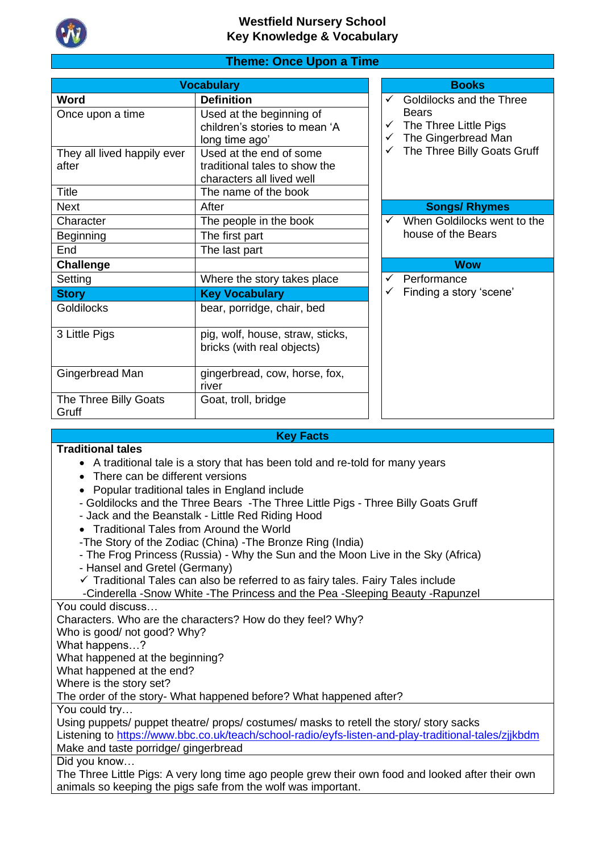

# **Theme: Once Upon a Time**

| <b>Vocabulary</b>                    |                                                                                       |  |                   | <b>Books</b>                                                 |
|--------------------------------------|---------------------------------------------------------------------------------------|--|-------------------|--------------------------------------------------------------|
| Word                                 | <b>Definition</b>                                                                     |  | $\checkmark$      | Goldilocks and the Three                                     |
| Once upon a time                     | Used at the beginning of<br>children's stories to mean 'A<br>long time ago'           |  | ✓<br>$\checkmark$ | <b>Bears</b><br>The Three Little Pigs<br>The Gingerbread Man |
| They all lived happily ever<br>after | Used at the end of some<br>traditional tales to show the<br>characters all lived well |  |                   | The Three Billy Goats Gruff                                  |
| Title                                | The name of the book                                                                  |  |                   |                                                              |
| <b>Next</b>                          | After                                                                                 |  |                   | <b>Songs/ Rhymes</b>                                         |
| Character                            | The people in the book                                                                |  | ✓                 | When Goldilocks went to the                                  |
| <b>Beginning</b>                     | The first part                                                                        |  |                   | house of the Bears                                           |
| End                                  | The last part                                                                         |  |                   |                                                              |
| Challenge                            |                                                                                       |  |                   | <b>Wow</b>                                                   |
| Setting                              | Where the story takes place                                                           |  | ✓                 | Performance                                                  |
| <b>Story</b>                         | <b>Key Vocabulary</b>                                                                 |  |                   | Finding a story 'scene'                                      |
| <b>Goldilocks</b>                    | bear, porridge, chair, bed                                                            |  |                   |                                                              |
| 3 Little Pigs                        | pig, wolf, house, straw, sticks,                                                      |  |                   |                                                              |
|                                      | bricks (with real objects)                                                            |  |                   |                                                              |
| Gingerbread Man                      | gingerbread, cow, horse, fox,<br>river                                                |  |                   |                                                              |
| The Three Billy Goats<br>Gruff       | Goat, troll, bridge                                                                   |  |                   |                                                              |

# **Traditional tales**

### **Key Facts**

- A traditional tale is a story that has been told and re-told for many years
- There can be different versions
- Popular traditional tales in England include
- Goldilocks and the Three Bears -The Three Little Pigs Three Billy Goats Gruff
- Jack and the Beanstalk Little Red Riding Hood
- Traditional Tales from Around the World
- -The Story of the Zodiac (China) -The Bronze Ring (India)
- The Frog Princess (Russia) Why the Sun and the Moon Live in the Sky (Africa)
- Hansel and Gretel (Germany)
- ✓ Traditional Tales can also be referred to as fairy tales. Fairy Tales include

-Cinderella -Snow White -The Princess and the Pea -Sleeping Beauty -Rapunzel

You could discuss…

Characters. Who are the characters? How do they feel? Why?

Who is good/ not good? Why?

What happens…?

What happened at the beginning?

What happened at the end?

Where is the story set?

The order of the story- What happened before? What happened after?

You could try…

Using puppets/ puppet theatre/ props/ costumes/ masks to retell the story/ story sacks Listening to https://www.bbc.co.uk/teach/school-radio/eyfs-listen-and-play-traditional-tales/ziikbdm Make and taste porridge/ gingerbread

Did you know…

The Three Little Pigs: A very long time ago people grew their own food and looked after their own animals so keeping the pigs safe from the wolf was important.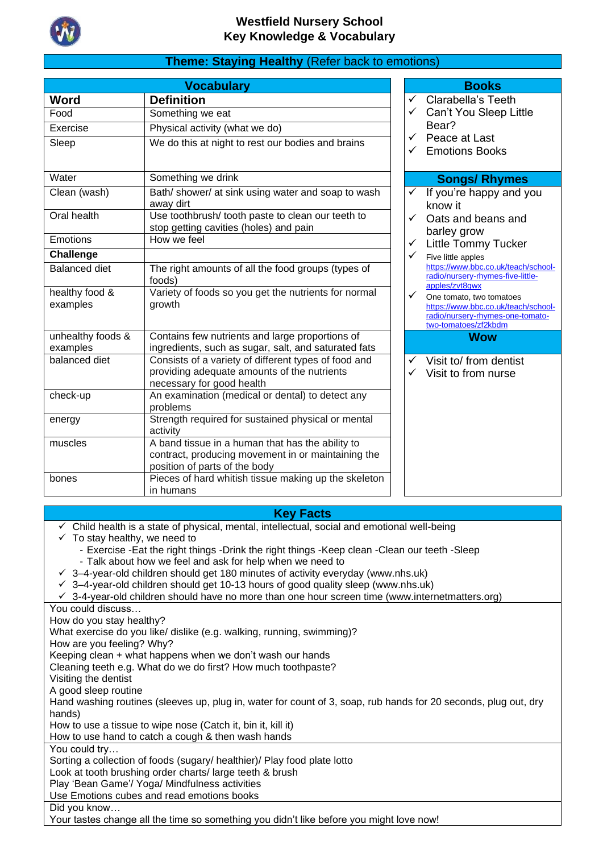

# **Theme: Staying Healthy** (Refer back to emotions)

|                               | <b>Vocabulary</b>                                                                                                                       |              | <b>Books</b>                                                                                                                |
|-------------------------------|-----------------------------------------------------------------------------------------------------------------------------------------|--------------|-----------------------------------------------------------------------------------------------------------------------------|
| Word                          | <b>Definition</b>                                                                                                                       | ✓            | Clarabella's Teeth                                                                                                          |
| Food                          | Something we eat                                                                                                                        | ✓            | Can't You Sleep Little                                                                                                      |
| Exercise                      | Physical activity (what we do)                                                                                                          |              | Bear?                                                                                                                       |
| Sleep                         | We do this at night to rest our bodies and brains                                                                                       | ✓            | Peace at Last<br><b>Emotions Books</b>                                                                                      |
| Water                         | Something we drink                                                                                                                      |              | <b>Songs/ Rhymes</b>                                                                                                        |
| Clean (wash)                  | Bath/shower/ at sink using water and soap to wash<br>away dirt                                                                          | $\checkmark$ | If you're happy and you<br>know it                                                                                          |
| Oral health                   | Use toothbrush/ tooth paste to clean our teeth to<br>stop getting cavities (holes) and pain                                             |              | Oats and beans and<br>barley grow                                                                                           |
| Emotions                      | How we feel                                                                                                                             | $\checkmark$ | <b>Little Tommy Tucker</b>                                                                                                  |
| Challenge                     |                                                                                                                                         | $\checkmark$ | Five little apples                                                                                                          |
| <b>Balanced diet</b>          | The right amounts of all the food groups (types of<br>foods)                                                                            |              | https://www.bbc.co.uk/teach/school-<br>radio/nursery-rhymes-five-little-<br>apples/zvt8qwx                                  |
| healthy food &<br>examples    | Variety of foods so you get the nutrients for normal<br>growth                                                                          | $\checkmark$ | One tomato, two tomatoes<br>https://www.bbc.co.uk/teach/school-<br>radio/nursery-rhymes-one-tomato-<br>two-tomatoes/zf2kbdm |
| unhealthy foods &<br>examples | Contains few nutrients and large proportions of<br>ingredients, such as sugar, salt, and saturated fats                                 |              | <b>Wow</b>                                                                                                                  |
| balanced diet                 | Consists of a variety of different types of food and<br>providing adequate amounts of the nutrients<br>necessary for good health        | ✓            | Visit to/ from dentist<br>Visit to from nurse                                                                               |
| check-up                      | An examination (medical or dental) to detect any<br>problems                                                                            |              |                                                                                                                             |
| energy                        | Strength required for sustained physical or mental<br>activity                                                                          |              |                                                                                                                             |
| muscles                       | A band tissue in a human that has the ability to<br>contract, producing movement in or maintaining the<br>position of parts of the body |              |                                                                                                                             |
| bones                         | Pieces of hard whitish tissue making up the skeleton<br>in humans                                                                       |              |                                                                                                                             |

### **Key Facts**

- $\checkmark$  Child health is a state of physical, mental, intellectual, social and emotional well-being
- $\checkmark$  To stay healthy, we need to
	- Exercise -Eat the right things -Drink the right things -Keep clean -Clean our teeth -Sleep
	- Talk about how we feel and ask for help when we need to
- $\checkmark$  3–4-year-old children should get 180 minutes of activity everyday (www.nhs.uk)
- $\checkmark$  3–4-year-old children should get 10-13 hours of good quality sleep (www.nhs.uk)
- ✓ 3-4-year-old children should have no more than one hour screen time (www.internetmatters.org)

You could discuss…

How do you stay healthy?

What exercise do you like/ dislike (e.g. walking, running, swimming)?

How are you feeling? Why?

Keeping clean + what happens when we don't wash our hands

Cleaning teeth e.g. What do we do first? How much toothpaste?

Visiting the dentist

A good sleep routine

Hand washing routines (sleeves up, plug in, water for count of 3, soap, rub hands for 20 seconds, plug out, dry hands)

How to use a tissue to wipe nose (Catch it, bin it, kill it)

How to use hand to catch a cough & then wash hands

You could try…

Sorting a collection of foods (sugary/ healthier)/ Play food plate lotto

Look at tooth brushing order charts/ large teeth & brush

Play 'Bean Game'/ Yoga/ Mindfulness activities

Use Emotions cubes and read emotions books

Did you know…

Your tastes change all the time so something you didn't like before you might love now!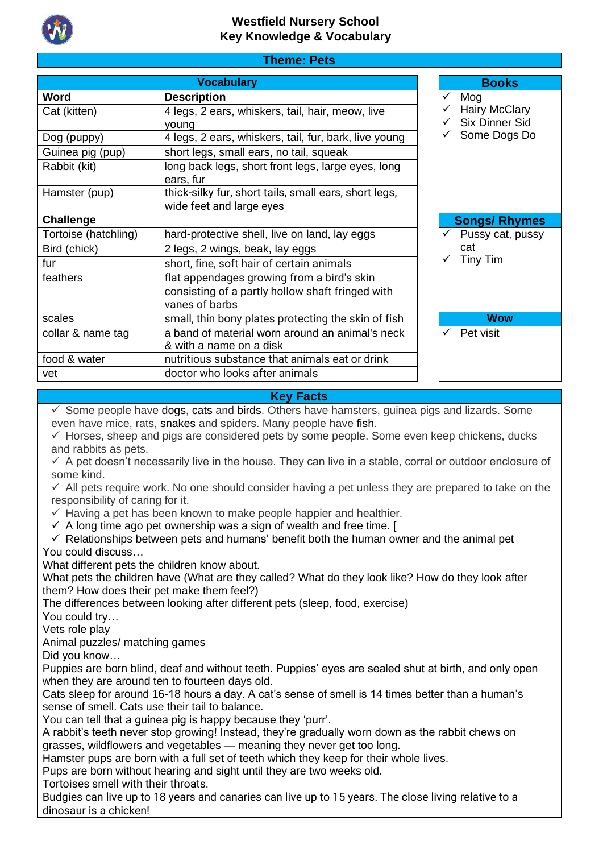

| <b>Theme: Pets</b> |  |
|--------------------|--|
|                    |  |

|                      | <b>Vocabulary</b>                                     |   | <b>Books</b>          |
|----------------------|-------------------------------------------------------|---|-----------------------|
| Word                 | <b>Description</b>                                    | ✓ | Mog                   |
| Cat (kitten)         | 4 legs, 2 ears, whiskers, tail, hair, meow, live      |   | <b>Hairy McClary</b>  |
|                      | voung                                                 |   | <b>Six Dinner Sid</b> |
| Dog (puppy)          | 4 legs, 2 ears, whiskers, tail, fur, bark, live young |   | Some Dogs Do          |
| Guinea pig (pup)     | short legs, small ears, no tail, squeak               |   |                       |
| Rabbit (kit)         | long back legs, short front legs, large eyes, long    |   |                       |
|                      | ears, fur                                             |   |                       |
| Hamster (pup)        | thick-silky fur, short tails, small ears, short legs, |   |                       |
|                      | wide feet and large eyes                              |   |                       |
| Challenge            |                                                       |   | <b>Songs/Rhymes</b>   |
| Tortoise (hatchling) | hard-protective shell, live on land, lay eggs         | ✓ | Pussy cat, pussy      |
| Bird (chick)         | 2 legs, 2 wings, beak, lay eggs                       |   | cat                   |
| fur                  | short, fine, soft hair of certain animals             | ✓ | Tiny Tim              |
| feathers             | flat appendages growing from a bird's skin            |   |                       |
|                      | consisting of a partly hollow shaft fringed with      |   |                       |
|                      | vanes of barbs                                        |   |                       |
| scales               | small, thin bony plates protecting the skin of fish   |   | <b>Wow</b>            |
| collar & name tag    | a band of material worn around an animal's neck       | ✓ | Pet visit             |
|                      | & with a name on a disk                               |   |                       |
| food & water         | nutritious substance that animals eat or drink        |   |                       |
| vet                  | doctor who looks after animals                        |   |                       |

# **Key Facts**

✓ Some people have [dogs,](https://kidskonnect.com/animals/dog/) [cats](https://kidskonnect.com/animals/cat/) and [birds.](https://kidskonnect.com/animals/bird/) Others have hamsters, guinea pigs and lizards. Some even have mice, rats, [snakes](https://kidskonnect.com/animals/snake/) and spiders. Many people have [fish.](https://kidskonnect.com/animals/fish/)

✓ Horses, sheep and pigs are considered pets by some people. Some even keep chickens, ducks and rabbits as pets.

 $\checkmark$  A pet doesn't necessarily live in the house. They can live in a stable, corral or outdoor enclosure of some kind.

 $\checkmark$  All pets require work. No one should consider having a pet unless they are prepared to take on the responsibility of caring for it.

- $\checkmark$  Having a pet has been known to make people happier and healthier.
- $\checkmark$  A long time ago pet ownership was a sign of wealth and free time. [

 $\checkmark$  Relationships between pets and humans' benefit both the human owner and the animal pet

You could discuss…

What different pets the children know about.

What pets the children have (What are they called? What do they look like? How do they look after them? How does their pet make them feel?)

The differences between looking after different pets (sleep, food, exercise)

You could try…

Vets role play

Animal puzzles/ matching games

Did you know…

Puppies are born blind, deaf and without teeth. Puppies' eyes are sealed shut at birth, and only open when they are around ten to fourteen days old.

Cats sleep for around 16-18 hours a day. A cat's sense of smell is 14 times better than a human's sense of smell. Cats use their tail to balance.

You can tell that a guinea pig is happy because they 'purr'.

A rabbit's teeth never stop growing! Instead, they're gradually worn down as the rabbit chews on grasses, wildflowers and vegetables — meaning they never get too long.

Hamster pups are born with a full set of teeth which they keep for their whole lives.

Pups are born without hearing and sight until they are two weeks old.

Tortoises smell with their throats.

Budgies can live up to 18 years and canaries can live up to 15 years. The close living relative to a dinosaur is a chicken!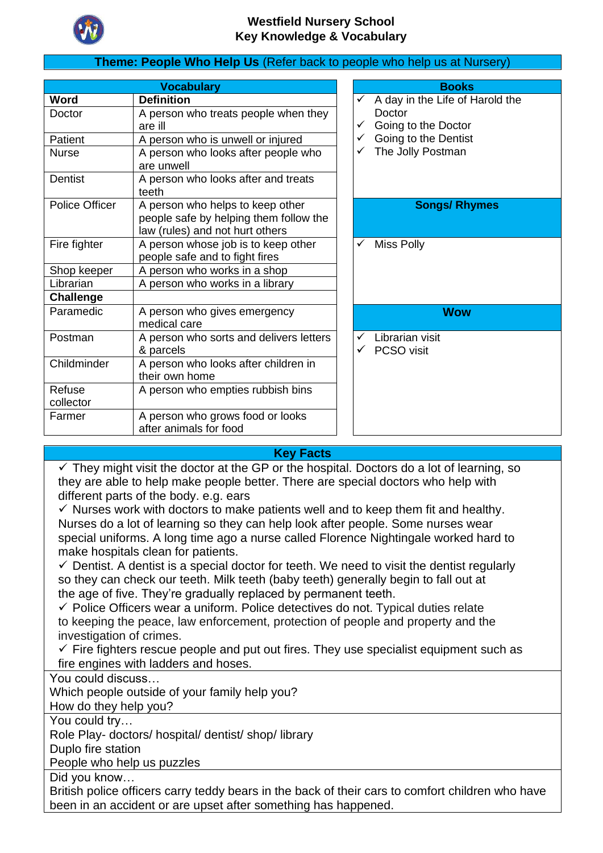

# **Theme: People Who Help Us** (Refer back to people who help us at Nursery)

|                     | <b>Vocabulary</b>                                                         |              | <b>Books</b>                    |
|---------------------|---------------------------------------------------------------------------|--------------|---------------------------------|
| Word                | <b>Definition</b>                                                         | $\checkmark$ | A day in the Life of Harold the |
| Doctor              | A person who treats people when they                                      |              | Doctor                          |
|                     | are ill                                                                   | ✓            | Going to the Doctor             |
| <b>Patient</b>      | A person who is unwell or injured                                         | $\checkmark$ | Going to the Dentist            |
| <b>Nurse</b>        | A person who looks after people who<br>are unwell                         |              | The Jolly Postman               |
| Dentist             | A person who looks after and treats<br>teeth                              |              |                                 |
| Police Officer      | A person who helps to keep other                                          |              | <b>Songs/ Rhymes</b>            |
|                     | people safe by helping them follow the<br>law (rules) and not hurt others |              |                                 |
| Fire fighter        | A person whose job is to keep other                                       | ✓            | <b>Miss Polly</b>               |
|                     | people safe and to fight fires                                            |              |                                 |
| Shop keeper         | A person who works in a shop                                              |              |                                 |
| Librarian           | A person who works in a library                                           |              |                                 |
| <b>Challenge</b>    |                                                                           |              |                                 |
| Paramedic           | A person who gives emergency<br>medical care                              |              | Wow                             |
| Postman             | A person who sorts and delivers letters                                   | $\checkmark$ | Librarian visit                 |
|                     | & parcels                                                                 |              | PCSO visit                      |
| Childminder         | A person who looks after children in<br>their own home                    |              |                                 |
| Refuse<br>collector | A person who empties rubbish bins                                         |              |                                 |
| Farmer              | A person who grows food or looks<br>after animals for food                |              |                                 |

| A day in the Life of Harold the<br>Doctor<br>Going to the Doctor<br>$\checkmark$ Going to the Dentist<br>The Jolly Postman |
|----------------------------------------------------------------------------------------------------------------------------|
|                                                                                                                            |
| <b>Songs/ Rhymes</b>                                                                                                       |
|                                                                                                                            |
| <b>Miss Polly</b>                                                                                                          |
|                                                                                                                            |
|                                                                                                                            |
|                                                                                                                            |
| Wow                                                                                                                        |
| Librarian visit<br>PCSO visit                                                                                              |

# **Key Facts**

 $\checkmark$  They might visit the doctor at the GP or the hospital. Doctors do a lot of learning, so they are able to help make people better. There are special doctors who help with different parts of the body. e.g. ears

 $\checkmark$  Nurses work with doctors to make patients well and to keep them fit and healthy. Nurses do a lot of learning so they can help look after people. Some nurses wear special uniforms. A long time ago a nurse called Florence Nightingale worked hard to make hospitals clean for patients.

 $\checkmark$  Dentist. A dentist is a special doctor for teeth. We need to visit the dentist regularly so they can check our teeth. Milk teeth (baby teeth) generally begin to fall out at the age of five. They're gradually replaced by permanent teeth.

 $\checkmark$  Police Officers wear a uniform. Police detectives do not. Typical duties relate to keeping the peace, law enforcement, protection of people and property and the investigation of crimes.

 $\checkmark$  Fire fighters rescue people and put out fires. They use specialist equipment such as fire engines with ladders and hoses.

You could discuss…

Which people outside of your family help you?

How do they help you?

You could try…

Role Play- doctors/ hospital/ dentist/ shop/ library

Duplo fire station

People who help us puzzles

Did you know…

British police officers carry teddy bears in the back of their cars to comfort children who have been in an accident or are upset after something has happened.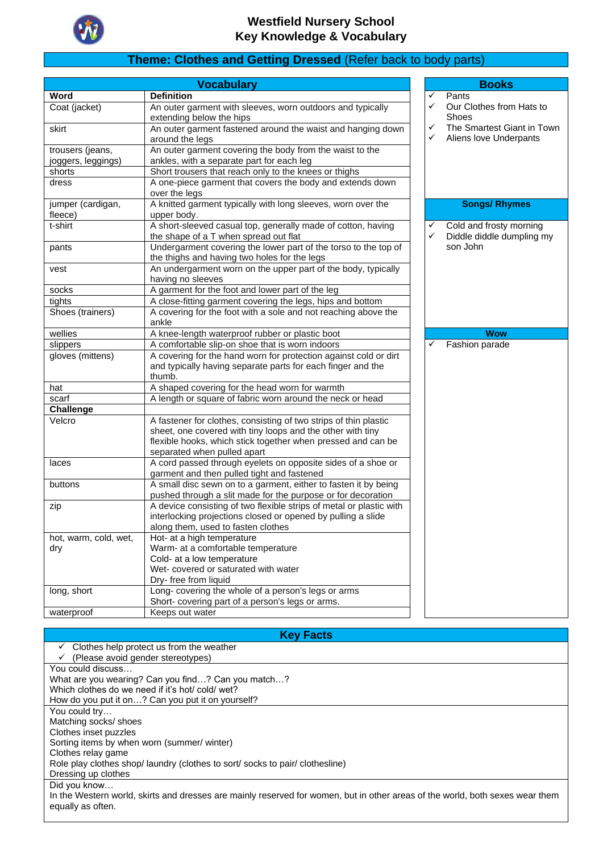

# **Theme: Clothes and Getting Dressed** (Refer back to body parts)

|                                        | <b>Vocabulary</b>                                                                                                                         |        | <b>Books</b>                                         |
|----------------------------------------|-------------------------------------------------------------------------------------------------------------------------------------------|--------|------------------------------------------------------|
| Word                                   | <b>Definition</b>                                                                                                                         | ✓      | Pants                                                |
| Coat (jacket)                          | An outer garment with sleeves, worn outdoors and typically<br>extending below the hips                                                    | ✓      | Our Clothes from Hats to<br><b>Shoes</b>             |
| skirt                                  | An outer garment fastened around the waist and hanging down<br>around the legs                                                            | ✓<br>✓ | The Smartest Giant in Town<br>Aliens love Underpants |
| trousers (jeans,<br>joggers, leggings) | An outer garment covering the body from the waist to the<br>ankles, with a separate part for each leg                                     |        |                                                      |
| shorts                                 | Short trousers that reach only to the knees or thighs                                                                                     |        |                                                      |
| dress                                  | A one-piece garment that covers the body and extends down<br>over the legs                                                                |        |                                                      |
| jumper (cardigan,<br>fleece)           | A knitted garment typically with long sleeves, worn over the<br>upper body.                                                               |        | <b>Songs/ Rhymes</b>                                 |
| t-shirt                                | A short-sleeved casual top, generally made of cotton, having<br>the shape of a T when spread out flat                                     | ✓<br>✓ | Cold and frosty morning<br>Diddle diddle dumpling my |
| pants                                  | Undergarment covering the lower part of the torso to the top of<br>the thighs and having two holes for the legs                           |        | son John                                             |
| vest                                   | An undergarment worn on the upper part of the body, typically<br>having no sleeves                                                        |        |                                                      |
| socks                                  | A garment for the foot and lower part of the leg                                                                                          |        |                                                      |
| tights                                 | A close-fitting garment covering the legs, hips and bottom                                                                                |        |                                                      |
| Shoes (trainers)                       | A covering for the foot with a sole and not reaching above the<br>ankle                                                                   |        |                                                      |
| wellies                                | A knee-length waterproof rubber or plastic boot                                                                                           |        | <b>Wow</b>                                           |
| slippers                               | A comfortable slip-on shoe that is worn indoors                                                                                           | ✓      | Fashion parade                                       |
| gloves (mittens)                       | A covering for the hand worn for protection against cold or dirt<br>and typically having separate parts for each finger and the<br>thumb. |        |                                                      |
| hat                                    | A shaped covering for the head worn for warmth                                                                                            |        |                                                      |
| scarf                                  | A length or square of fabric worn around the neck or head                                                                                 |        |                                                      |
| <b>Challenge</b>                       |                                                                                                                                           |        |                                                      |
| Velcro                                 | A fastener for clothes, consisting of two strips of thin plastic<br>sheet, one covered with tiny loops and the other with tiny            |        |                                                      |
|                                        | flexible hooks, which stick together when pressed and can be<br>separated when pulled apart                                               |        |                                                      |
| laces                                  | A cord passed through eyelets on opposite sides of a shoe or<br>garment and then pulled tight and fastened                                |        |                                                      |
| buttons                                | A small disc sewn on to a garment, either to fasten it by being<br>pushed through a slit made for the purpose or for decoration           |        |                                                      |
| zip                                    | A device consisting of two flexible strips of metal or plastic with                                                                       |        |                                                      |
|                                        | interlocking projections closed or opened by pulling a slide<br>along them, used to fasten clothes                                        |        |                                                      |
| hot, warm, cold, wet,                  | Hot- at a high temperature                                                                                                                |        |                                                      |
| dry                                    | Warm- at a comfortable temperature                                                                                                        |        |                                                      |
|                                        | Cold- at a low temperature                                                                                                                |        |                                                      |
|                                        | Wet-covered or saturated with water                                                                                                       |        |                                                      |
|                                        | Dry- free from liquid                                                                                                                     |        |                                                      |
| long, short                            | Long- covering the whole of a person's legs or arms                                                                                       |        |                                                      |
|                                        | Short- covering part of a person's legs or arms.                                                                                          |        |                                                      |
| waterproof                             | Keeps out water                                                                                                                           |        |                                                      |

**Key Facts**

| Clothes help protect us from the weather                                                                                      |
|-------------------------------------------------------------------------------------------------------------------------------|
| (Please avoid gender stereotypes)                                                                                             |
| You could discuss                                                                                                             |
| What are you wearing? Can you find? Can you match?                                                                            |
| Which clothes do we need if it's hot/cold/wet?                                                                                |
| How do you put it on? Can you put it on yourself?                                                                             |
| You could try                                                                                                                 |
| Matching socks/ shoes                                                                                                         |
| Clothes inset puzzles                                                                                                         |
| Sorting items by when worn (summer/winter)                                                                                    |
| Clothes relay game                                                                                                            |
| Role play clothes shop/laundry (clothes to sort/socks to pair/clothesline)                                                    |
| Dressing up clothes                                                                                                           |
| Did you know                                                                                                                  |
| In the Western world, skirts and dresses are mainly reserved for women, but in other areas of the world, both sexes wear them |
| equally as often.                                                                                                             |
|                                                                                                                               |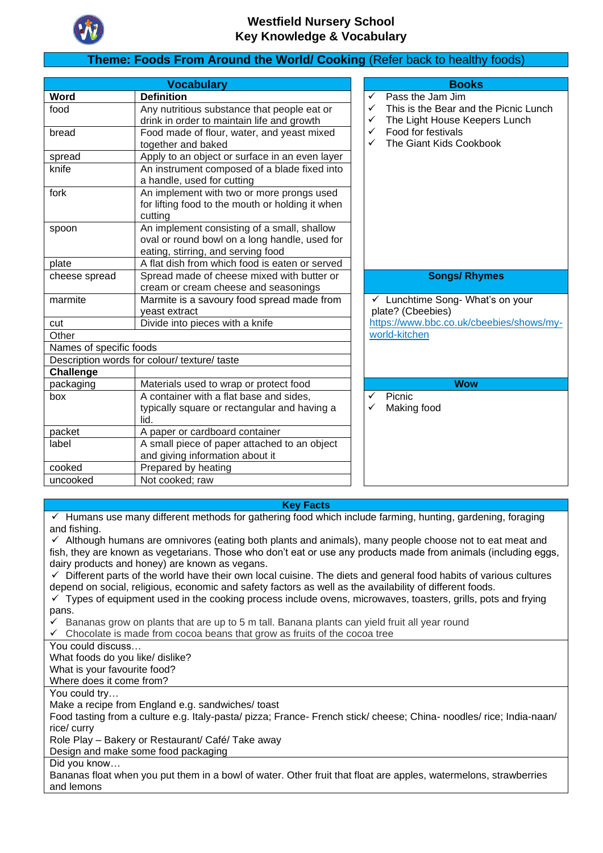

# **Theme: Foods From Around the World/ Cooking** (Refer back to healthy foods)

|                         | <b>Vocabulary</b>                                |   | <b>Books</b>                             |
|-------------------------|--------------------------------------------------|---|------------------------------------------|
| Word                    | <b>Definition</b>                                | ✓ | Pass the Jam Jim                         |
| food                    | Any nutritious substance that people eat or      | ✓ | This is the Bear and the Picnic Lunch    |
|                         | drink in order to maintain life and growth       | ✓ | The Light House Keepers Lunch            |
| bread                   | Food made of flour, water, and yeast mixed       | ✓ | Food for festivals                       |
|                         | together and baked                               | ✓ | The Giant Kids Cookbook                  |
| spread                  | Apply to an object or surface in an even layer   |   |                                          |
| knife                   | An instrument composed of a blade fixed into     |   |                                          |
|                         | a handle, used for cutting                       |   |                                          |
| fork                    | An implement with two or more prongs used        |   |                                          |
|                         | for lifting food to the mouth or holding it when |   |                                          |
|                         | cutting                                          |   |                                          |
| spoon                   | An implement consisting of a small, shallow      |   |                                          |
|                         | oval or round bowl on a long handle, used for    |   |                                          |
|                         | eating, stirring, and serving food               |   |                                          |
| plate                   | A flat dish from which food is eaten or served   |   |                                          |
| cheese spread           | Spread made of cheese mixed with butter or       |   | <b>Songs/ Rhymes</b>                     |
|                         | cream or cream cheese and seasonings             |   |                                          |
| marmite                 | Marmite is a savoury food spread made from       |   | ← Lunchtime Song- What's on your         |
|                         | yeast extract                                    |   | plate? (Cbeebies)                        |
| cut                     | Divide into pieces with a knife                  |   | https://www.bbc.co.uk/cbeebies/shows/my- |
| Other                   |                                                  |   | world-kitchen                            |
| Names of specific foods |                                                  |   |                                          |
|                         | Description words for colour/ texture/ taste     |   |                                          |
| Challenge               |                                                  |   |                                          |
| packaging               | Materials used to wrap or protect food           |   | <b>Wow</b>                               |
| box                     | A container with a flat base and sides,          | ✓ | Picnic                                   |
|                         | typically square or rectangular and having a     | ✓ | Making food                              |
|                         | lid.                                             |   |                                          |
| packet                  | A paper or cardboard container                   |   |                                          |
| label                   | A small piece of paper attached to an object     |   |                                          |
|                         | and giving information about it                  |   |                                          |
| cooked                  | Prepared by heating                              |   |                                          |
| uncooked                | Not cooked; raw                                  |   |                                          |

#### **Key Facts**

✓ Humans use many different methods for gathering food which include farming, hunting, gardening, foraging and fishing.

 $\checkmark$  Although humans are omnivores (eating both plants and animals), many people choose not to eat meat and fish, they are known as vegetarians. Those who don't eat or use any products made from animals (including eggs, dairy products and honey) are known as vegans.

✓ Different parts of the world have their own local cuisine. The diets and general food habits of various cultures depend on social, religious, economic and safety factors as well as the availability of different foods.

 $\checkmark$  Types of equipment used in the cooking process include ovens, microwaves, toasters, grills, pots and frying pans.

Bananas grow on plants that are up to 5 m tall. Banana plants can yield fruit all year round

 $\checkmark$  Chocolate is made from cocoa beans that grow as fruits of the cocoa tree

You could discuss…

What foods do you like/ dislike? What is your favourite food? Where does it come from?

You could try…

Make a recipe from England e.g. sandwiches/ toast

Food tasting from a culture e.g. Italy-pasta/ pizza; France- French stick/ cheese; China- noodles/ rice; India-naan/ rice/ curry

Role Play – Bakery or Restaurant/ Café/ Take away

Design and make some food packaging

Did you know…

Bananas float when you put them in a bowl of water. Other fruit that float are apples, watermelons, strawberries and lemons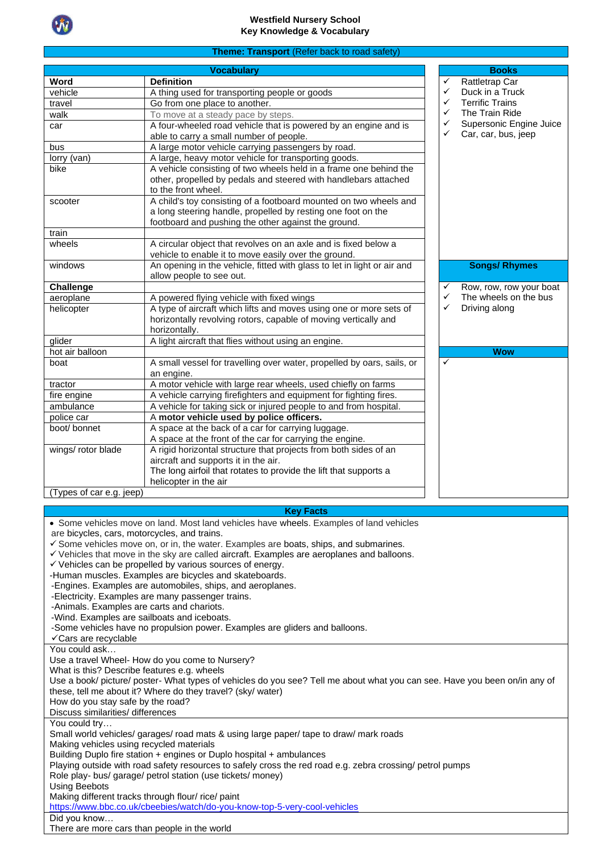

#### **Theme: Transport** (Refer back to road safety)

|                          | <b>Vocabulary</b>                                                       |              | <b>Books</b>            |
|--------------------------|-------------------------------------------------------------------------|--------------|-------------------------|
| Word                     | <b>Definition</b>                                                       | ✓            | Rattletrap Car          |
| vehicle                  | A thing used for transporting people or goods                           | ✓            | Duck in a Truck         |
| travel                   | Go from one place to another.                                           | ✓            | <b>Terrific Trains</b>  |
| walk                     | To move at a steady pace by steps.                                      | ✓            | The Train Ride          |
| car                      | A four-wheeled road vehicle that is powered by an engine and is         | ✓            | Supersonic Engine Juice |
|                          | able to carry a small number of people.                                 | ✓            | Car, car, bus, jeep     |
| bus                      | A large motor vehicle carrying passengers by road.                      |              |                         |
| lorry (van)              | A large, heavy motor vehicle for transporting goods.                    |              |                         |
| bike                     | A vehicle consisting of two wheels held in a frame one behind the       |              |                         |
|                          | other, propelled by pedals and steered with handlebars attached         |              |                         |
|                          | to the front wheel.                                                     |              |                         |
| scooter                  | A child's toy consisting of a footboard mounted on two wheels and       |              |                         |
|                          | a long steering handle, propelled by resting one foot on the            |              |                         |
|                          | footboard and pushing the other against the ground.                     |              |                         |
| train                    |                                                                         |              |                         |
| wheels                   | A circular object that revolves on an axle and is fixed below a         |              |                         |
|                          | vehicle to enable it to move easily over the ground.                    |              |                         |
| windows                  | An opening in the vehicle, fitted with glass to let in light or air and |              | <b>Songs/ Rhymes</b>    |
|                          | allow people to see out.                                                |              |                         |
| <b>Challenge</b>         |                                                                         | ✓            | Row, row, row your boat |
| aeroplane                | A powered flying vehicle with fixed wings                               | ✓            | The wheels on the bus   |
| helicopter               | A type of aircraft which lifts and moves using one or more sets of      | ✓            | Driving along           |
|                          | horizontally revolving rotors, capable of moving vertically and         |              |                         |
|                          | horizontally.                                                           |              |                         |
| glider                   | A light aircraft that flies without using an engine.                    |              |                         |
| hot air balloon          |                                                                         |              | <b>Wow</b>              |
| boat                     | A small vessel for travelling over water, propelled by oars, sails, or  | $\checkmark$ |                         |
|                          | an engine.                                                              |              |                         |
| tractor                  | A motor vehicle with large rear wheels, used chiefly on farms           |              |                         |
| fire engine              | A vehicle carrying firefighters and equipment for fighting fires.       |              |                         |
| ambulance                | A vehicle for taking sick or injured people to and from hospital.       |              |                         |
| police car               | A motor vehicle used by police officers.                                |              |                         |
| boot/ bonnet             | A space at the back of a car for carrying luggage.                      |              |                         |
|                          | A space at the front of the car for carrying the engine.                |              |                         |
| wings/ rotor blade       | A rigid horizontal structure that projects from both sides of an        |              |                         |
|                          | aircraft and supports it in the air.                                    |              |                         |
|                          | The long airfoil that rotates to provide the lift that supports a       |              |                         |
|                          | helicopter in the air                                                   |              |                         |
| (Types of car e.g. jeep) |                                                                         |              |                         |
|                          |                                                                         |              |                         |
|                          | <b>Key Facts</b>                                                        |              |                         |

• Some vehicles move on land. Most land vehicles have [wheels.](https://kids.kiddle.co/Wheel) Examples of land vehicles are [bicycles,](https://kids.kiddle.co/Bicycle) [cars,](https://kids.kiddle.co/Car) [motorcycles,](https://kids.kiddle.co/Motorcycle) and [trains.](https://kids.kiddle.co/Train) ✓ Some vehicles move on, or in, the water. Examples are [boats,](https://kids.kiddle.co/Boat) [ships,](https://kids.kiddle.co/Ship) and [submarines.](https://kids.kiddle.co/Submarine) ✓ Vehicles that move in the sky are called [aircraft.](https://kids.kiddle.co/Aircraft) Examples are [aeroplanes](https://kids.kiddle.co/Fixed-wing_aircraft) and [balloons.](https://kids.kiddle.co/Balloon)  $\checkmark$  Vehicles can be [propelled](https://kids.kiddle.co/Propulsion_tools) by various sources of energy. [-Human](https://kids.kiddle.co/Human) [muscles.](https://kids.kiddle.co/Muscular_system) Examples are bicycles and [skateboards.](https://kids.kiddle.co/Skateboard) [-Engines.](https://kids.kiddle.co/Engine) Examples are automobiles, ships, and aeroplanes. [-Electricity.](https://kids.kiddle.co/Electricity) Examples are many passenger [trains.](https://kids.kiddle.co/Train) [-Animals.](https://kids.kiddle.co/Animal) Examples are [carts](https://kids.kiddle.co/Cart) and [chariots.](https://kids.kiddle.co/Chariot) [-Wind.](https://kids.kiddle.co/Wind) Examples are [sailboats](https://kids.kiddle.co/Sailboat) and [iceboats.](https://kids.kiddle.co/Iceboat) -Some vehicles have no propulsion power. Examples are [gliders](https://kids.kiddle.co/Glider) and [balloons.](https://kids.kiddle.co/Balloon_(aircraft)) ✓Cars are recyclable You could ask… Use a travel Wheel- How do you come to Nursery? What is this? Describe features e.g. wheels Use a book/ picture/ poster- What types of vehicles do you see? Tell me about what you can see. Have you been on/in any of these, tell me about it? Where do they travel? (sky/ water) How do you stay safe by the road? Discuss similarities/ differences You could try… Small world vehicles/ garages/ road mats & using large paper/ tape to draw/ mark roads Making vehicles using recycled materials Building Duplo fire station + engines or Duplo hospital + ambulances Playing outside with road safety resources to safely cross the red road e.g. zebra crossing/ petrol pumps Role play- bus/ garage/ petrol station (use tickets/ money) Using Beebots Making different tracks through flour/ rice/ paint https://www.bbc.co.uk/cbeebies/watch/do-you-know-top-5-yery-cool-vehicle Did you know… There are more cars than people in the world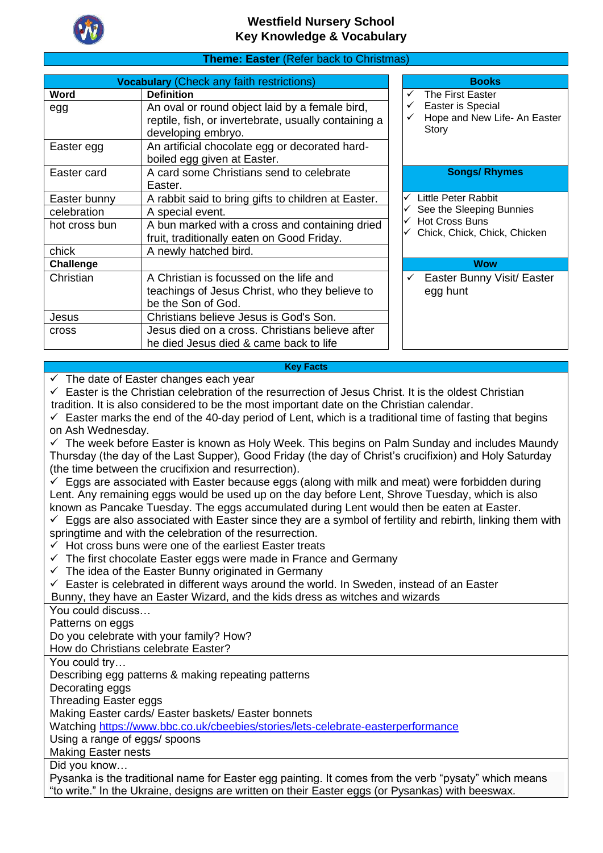

### **Theme: Easter** (Refer back to Christmas)

|               | <b>Vocabulary (Check any faith restrictions)</b>     | <b>Books</b>                 |
|---------------|------------------------------------------------------|------------------------------|
| Word          | <b>Definition</b>                                    | The First Easter             |
| egg           | An oval or round object laid by a female bird,       | Easter is Special            |
|               | reptile, fish, or invertebrate, usually containing a | Hope and New Life- An Easter |
|               | developing embryo.                                   | Story                        |
| Easter egg    | An artificial chocolate egg or decorated hard-       |                              |
|               | boiled egg given at Easter.                          |                              |
| Easter card   | A card some Christians send to celebrate             | <b>Songs/ Rhymes</b>         |
|               | Easter.                                              |                              |
| Easter bunny  | A rabbit said to bring gifts to children at Easter.  | Little Peter Rabbit          |
| celebration   | A special event.                                     | See the Sleeping Bunnies     |
| hot cross bun | A bun marked with a cross and containing dried       | <b>Hot Cross Buns</b>        |
|               | fruit, traditionally eaten on Good Friday.           | Chick, Chick, Chick, Chicken |
| chick         | A newly hatched bird.                                |                              |
| Challenge     |                                                      | <b>Wow</b>                   |
| Christian     | A Christian is focussed on the life and              | Easter Bunny Visit/ Easter   |
|               | teachings of Jesus Christ, who they believe to       | egg hunt                     |
|               | be the Son of God.                                   |                              |
| Jesus         | Christians believe Jesus is God's Son.               |                              |
| cross         | Jesus died on a cross. Christians believe after      |                              |
|               | he died Jesus died & came back to life               |                              |

#### **Key Facts**

 $\checkmark$  The date of Easter changes each year

✓ Easter is the Christian celebration of the resurrection of Jesus Christ. It is the oldest Christian tradition. It is also considered to be the most important date on the Christian calendar.

 $\checkmark$  Easter marks the end of the 40-day period of Lent, which is a traditional time of fasting that begins on Ash Wednesday.

 $\checkmark$  The week before Easter is known as Holy Week. This begins on Palm Sunday and includes Maundy Thursday (the day of the Last Supper), Good Friday (the day of Christ's crucifixion) and Holy Saturday (the time between the crucifixion and resurrection).

✓ Eggs are associated with Easter because eggs (along with milk and meat) were forbidden during Lent. Any remaining eggs would be used up on the day before Lent, Shrove Tuesday, which is also known as Pancake Tuesday. The eggs accumulated during Lent would then be eaten at Easter.

 $\checkmark$  Eggs are also associated with Easter since they are a symbol of fertility and rebirth, linking them with springtime and with the celebration of the resurrection.

- $\checkmark$  Hot cross buns were one of the earliest Easter treats
- $\checkmark$  The first chocolate Easter eggs were made in France and Germany
- $\checkmark$  The idea of the Easter Bunny originated in Germany
- ✓ Easter is celebrated in different ways around the world. In Sweden, instead of an Easter

Bunny, they have an Easter Wizard, and the kids dress as witches and wizards

You could discuss…

Patterns on eggs

Do you celebrate with your family? How?

How do Christians celebrate Easter?

You could try…

Describing egg patterns & making repeating patterns

Decorating eggs

Threading Easter eggs

Making Easter cards/ Easter baskets/ Easter bonnets

Watching<https://www.bbc.co.uk/cbeebies/stories/lets-celebrate-easterperformance>

Using a range of eggs/ spoons

Making Easter nests

Did you know…

Pysanka is the traditional name for Easter egg painting. It comes from the verb "pysaty" which means "to write." In the Ukraine, designs are written on their Easter eggs (or Pysankas) with beeswax.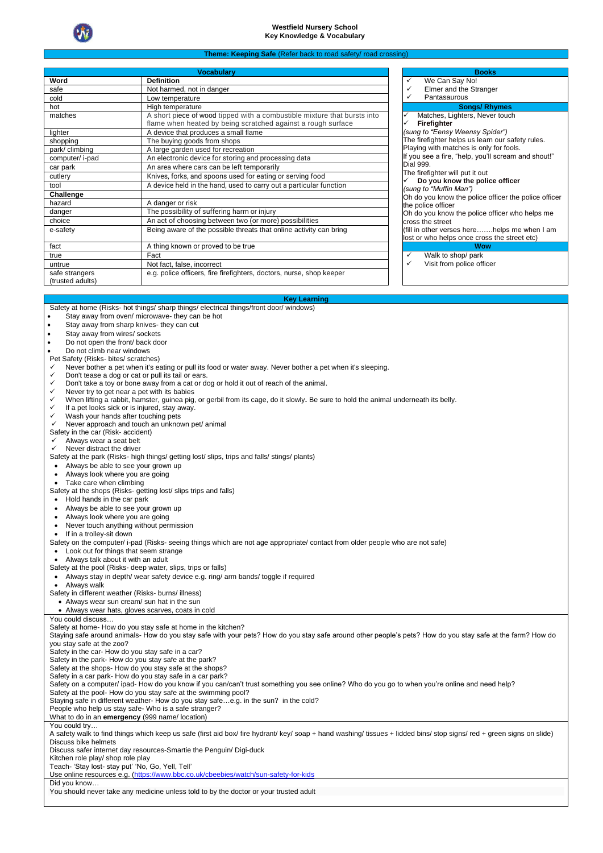

#### **Theme: Keeping Safe (Re**

|                                    | <b>Vocabularv</b>                                                                                                                        | <b>Books</b>                                                           |
|------------------------------------|------------------------------------------------------------------------------------------------------------------------------------------|------------------------------------------------------------------------|
| Word                               | <b>Definition</b>                                                                                                                        | ✓<br>We Can Say No!                                                    |
| safe                               | Not harmed, not in danger                                                                                                                | Elmer and the Stranger                                                 |
| cold                               | Low temperature                                                                                                                          | Pantasaurous<br>✓                                                      |
| hot                                | High temperature                                                                                                                         | <b>Songs/ Rhymes</b>                                                   |
| matches                            | A short piece of wood tipped with a combustible mixture that bursts into<br>flame when heated by being scratched against a rough surface | Matches, Lighters, Never touc<br>Firefighter                           |
| lighter                            | A device that produces a small flame                                                                                                     | (sung to "Eensy Weensy Spider")                                        |
| shopping                           | The buying goods from shops                                                                                                              | The firefighter helps us learn our s                                   |
| park/climbing                      | A large garden used for recreation                                                                                                       | Playing with matches is only for for                                   |
| computer/ i-pad                    | An electronic device for storing and processing data                                                                                     | If you see a fire, "help, you'll screa                                 |
| car park                           | An area where cars can be left temporarily                                                                                               | Dial 999.                                                              |
| cutlery                            | Knives, forks, and spoons used for eating or serving food                                                                                | The firefighter will put it out<br>Do you know the police offic        |
| tool                               | A device held in the hand, used to carry out a particular function                                                                       | (sung to "Muffin Man")                                                 |
| Challenge                          |                                                                                                                                          | Oh do you know the police officer t                                    |
| hazard                             | A danger or risk                                                                                                                         | the police officer                                                     |
| danger                             | The possibility of suffering harm or injury                                                                                              | Oh do you know the police officer                                      |
| choice                             | An act of choosing between two (or more) possibilities                                                                                   | cross the street                                                       |
| e-safety                           | Being aware of the possible threats that online activity can bring                                                                       | (fill in other verses herehelps<br>lost or who helps once cross the st |
| fact                               | A thing known or proved to be true                                                                                                       | <b>Wow</b>                                                             |
| true                               | Fact                                                                                                                                     | ✓<br>Walk to shop/ park                                                |
| untrue                             | Not fact, false, incorrect                                                                                                               | Visit from police officer<br>✓                                         |
| safe strangers<br>(trusted adults) | e.g. police officers, fire firefighters, doctors, nurse, shop keeper                                                                     |                                                                        |

| v<br>we can say no!                                  |  |  |  |  |
|------------------------------------------------------|--|--|--|--|
| $\checkmark$<br>Elmer and the Stranger               |  |  |  |  |
| ✓<br>Pantasaurous                                    |  |  |  |  |
| <b>Songs/ Rhymes</b>                                 |  |  |  |  |
| $\checkmark$<br>Matches, Lighters, Never touch       |  |  |  |  |
| Firefighter                                          |  |  |  |  |
| (sung to "Eensy Weensy Spider")                      |  |  |  |  |
| The firefighter helps us learn our safety rules.     |  |  |  |  |
| Playing with matches is only for fools.              |  |  |  |  |
| If you see a fire, "help, you'll scream and shout!"  |  |  |  |  |
| Dial 999.                                            |  |  |  |  |
| The firefighter will put it out                      |  |  |  |  |
| $\checkmark$ Do you know the police officer          |  |  |  |  |
| (sung to "Muffin Man")                               |  |  |  |  |
| Oh do you know the police officer the police officer |  |  |  |  |
| the police officer                                   |  |  |  |  |
| Oh do you know the police officer who helps me       |  |  |  |  |
| cross the street                                     |  |  |  |  |
| (fill in other verses here……helps me when I am       |  |  |  |  |
| lost or who helps once cross the street etc)         |  |  |  |  |
| Wow                                                  |  |  |  |  |
| Walk to shop/ park<br>✓                              |  |  |  |  |

#### **Key Learning**

|  |  | Safety at home (Risks- hot things/ sharp things/ electrical things/front door/ windows) |  |
|--|--|-----------------------------------------------------------------------------------------|--|
|  |  |                                                                                         |  |

- Stay away from oven/ microwaye- they can be hot
- Stav away from sharp knives- they can cut
- Stay away from wires/ sockets
- Do not open the front/ back door
- Do not climb near windows

#### Pet Safety (Risks- bites/ scratches)

- Never bother a pet when it's eating or pull its food or water away. Never bother a pet when it's sleeping.
- Don't tease a dog or cat or pull its tail or ears.
- Don't take a toy or bone away from a cat or dog or hold it out of reach of the animal.
- Never try to get near a pet with its babies
- ✓ When lifting a rabbit, hamster, guinea pig, or gerbil from its cage, do it slowly**.** Be sure to hold the animal underneath its belly.
- If a pet looks sick or is injured, stay away.
- Wash your hands after touching pets
- Never approach and touch an unknown pet/ animal
- Safety in the car (Risk- accident)
- $\checkmark$  Always wear a seat belt Never distract the driver
- Safety at the park (Risks- high things/ getting lost/ slips, trips and falls/ stings/ plants)
- Always be able to see your grown up
- Always look where you are going
- Take care when climbing
- Safety at the shops (Risks- getting lost/ slips trips and falls)
- Hold hands in the car park
- Always be able to see your grown up
- Always look where you are going
- Never touch anything without permission
- If in a trolley-sit down

Safety on the computer/ i-pad (Risks- seeing things which are not age appropriate/ contact from older people who are not safe)

- Look out for things that seem strange
- Always talk about it with an adult
- Safety at the pool (Risks- deep water, slips, trips or falls)
- Always stay in depth/ wear safety device e.g. ring/ arm bands/ toggle if required

• Always walk

Safety in different weather (Risks- burns/ illness)

• Always wear sun cream/ sun hat in the sun • Always wear hats, gloves scarves, coats in cold

#### You could discuss…

Safety at home- How do you stay safe at home in the kitchen?

Staying safe around animals- How do you stay safe with your pets? How do you stay safe around other people's pets? How do you stay safe at the farm? How do you stay safe at the zoo? Safety in the car- How do you stay safe in a car?

Safety in the park- How do you stay safe at the park?

Safety at the shops- How do you stay safe at the shops?

Safety in a car park- How do you stay safe in a car park?

Safety on a computer/ ipad- How do you know if you can/can't trust something you see online? Who do you go to when you're online and need help?

Safety at the pool- How do you stay safe at the swimming pool?

Staying safe in different weather- How do you stay safe…e.g. in the sun? in the cold?

People who help us stay safe- Who is a safe stranger?

What to do in an **emergency** (999 name/ location)

You could try…

A safety walk to find things which keep us safe (first aid box/ fire hydrant/ key/ soap + hand washing/ tissues + lidded bins/ stop signs/ red + green signs on slide) Discuss bike helmets

Discuss safer internet day resources-Smartie the Penguin/ Digi-duck

Kitchen role play/ shop role play

Teach- 'Stay lost- stay put' 'No, Go, Yell, Tell'

Use online resources e.g. [\(https://www.bbc.co.uk/cbeebies/watch/sun-safety-for-kids](https://www.bbc.co.uk/cbeebies/watch/sun-safety-for-kids)

Did you know…

You should never take any medicine unless told to by the doctor or your trusted adult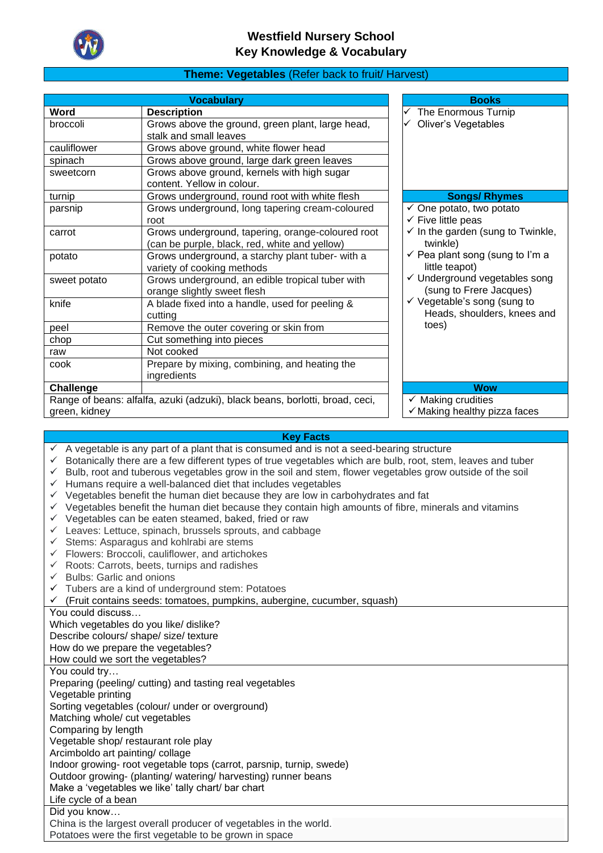

#### **Theme: Vegetables** (Refer back to fruit/ Harvest)

|               | <b>Vocabulary</b>                                                                                  | <b>Books</b>                                                         |
|---------------|----------------------------------------------------------------------------------------------------|----------------------------------------------------------------------|
| Word          | <b>Description</b>                                                                                 | The Enormous Turnip                                                  |
| broccoli      | Grows above the ground, green plant, large head,<br>stalk and small leaves                         | <b>Oliver's Vegetables</b>                                           |
| cauliflower   | Grows above ground, white flower head                                                              |                                                                      |
| spinach       | Grows above ground, large dark green leaves                                                        |                                                                      |
| sweetcorn     | Grows above ground, kernels with high sugar<br>content. Yellow in colour.                          |                                                                      |
| turnip        | Grows underground, round root with white flesh                                                     | <b>Songs/ Rhymes</b>                                                 |
| parsnip       | Grows underground, long tapering cream-coloured<br>root                                            | $\checkmark$ One potato, two potato<br>$\checkmark$ Five little peas |
| carrot        | Grows underground, tapering, orange-coloured root<br>(can be purple, black, red, white and yellow) | $\checkmark$ In the garden (sung to Twinkle,<br>twinkle)             |
| potato        | Grows underground, a starchy plant tuber- with a<br>variety of cooking methods                     | $\checkmark$ Pea plant song (sung to I'm a<br>little teapot)         |
| sweet potato  | Grows underground, an edible tropical tuber with<br>orange slightly sweet flesh                    | ✓ Underground vegetables song<br>(sung to Frere Jacques)             |
| knife         | A blade fixed into a handle, used for peeling &<br>cuttina                                         | ✓ Vegetable's song (sung to<br>Heads, shoulders, knees and           |
| peel          | Remove the outer covering or skin from                                                             | toes)                                                                |
| chop          | Cut something into pieces                                                                          |                                                                      |
| raw           | Not cooked                                                                                         |                                                                      |
| cook          | Prepare by mixing, combining, and heating the<br>ingredients                                       |                                                                      |
| Challenge     |                                                                                                    | <b>Wow</b>                                                           |
|               | Range of beans: alfalfa, azuki (adzuki), black beans, borlotti, broad, ceci,                       | $\checkmark$ Making crudities                                        |
| green, kidney |                                                                                                    | $\checkmark$ Making healthy pizza faces                              |

#### **Key Facts**

- $\checkmark$  A vegetable is any part of a plant that is consumed and is not a seed-bearing structure
- ✓ Botanically there are a few different types of true vegetables which are bulb, root, stem, leaves and tuber
- ✓ Bulb, root and tuberous vegetables grow in the soil and stem, flower vegetables grow outside of the soil
- ✓ Humans require a well-balanced diet that includes vegetables
- $\checkmark$  Vegetables benefit the human diet because they are low in carbohydrates and fat
- ✓ Vegetables benefit the human diet because they contain high amounts of fibre, minerals and vitamins
- ✓ Vegetables can be eaten steamed, baked, fried or raw
- ✓ Leaves: Lettuce, spinach, brussels sprouts, and cabbage
- $\checkmark$  Stems: Asparagus and kohlrabi are stems
- $\checkmark$  Flowers: Broccoli, cauliflower, and artichokes
- $\checkmark$  Roots: Carrots, beets, turnips and radishes
- $\checkmark$  Bulbs: Garlic and onions
- ✓ Tubers are a kind of underground stem: Potatoes
- ✓ (Fruit contains seeds: tomatoes, pumpkins, aubergine, cucumber, squash)

You could discuss…

Which vegetables do you like/ dislike? Describe colours/ shape/ size/ texture

How do we prepare the vegetables?

How could we sort the vegetables?

You could try…

Preparing (peeling/ cutting) and tasting real vegetables

Vegetable printing

Sorting vegetables (colour/ under or overground)

Matching whole/ cut vegetables

Comparing by length

Vegetable shop/ restaurant role play

Arcimboldo art painting/ collage

Indoor growing- root vegetable tops (carrot, parsnip, turnip, swede)

Outdoor growing- (planting/ watering/ harvesting) runner beans

Make a 'vegetables we like' tally chart/ bar chart Life cycle of a bean

Did you know…

China is the largest overall producer of vegetables in the world. Potatoes were the first vegetable to be grown in space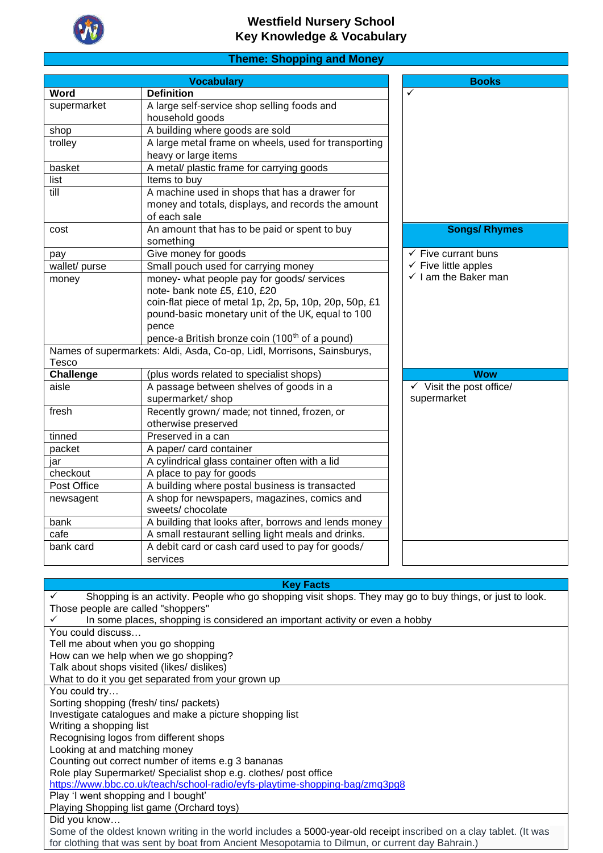

# **Theme: Shopping and Money**

|               | <b>Vocabulary</b>                                                      | <b>Books</b>                        |
|---------------|------------------------------------------------------------------------|-------------------------------------|
| Word          | <b>Definition</b>                                                      | ✓                                   |
| supermarket   | A large self-service shop selling foods and                            |                                     |
|               | household goods                                                        |                                     |
| shop          | A building where goods are sold                                        |                                     |
| trolley       | A large metal frame on wheels, used for transporting                   |                                     |
|               | heavy or large items                                                   |                                     |
| basket        | A metal/ plastic frame for carrying goods                              |                                     |
| list          | Items to buy                                                           |                                     |
| till          | A machine used in shops that has a drawer for                          |                                     |
|               | money and totals, displays, and records the amount                     |                                     |
|               | of each sale                                                           |                                     |
| cost          | An amount that has to be paid or spent to buy                          | <b>Songs/ Rhymes</b>                |
|               | something                                                              |                                     |
| pay           | Give money for goods                                                   | $\checkmark$ Five currant buns      |
| wallet/ purse | Small pouch used for carrying money                                    | $\checkmark$ Five little apples     |
| money         | money- what people pay for goods/ services                             | $\checkmark$ I am the Baker man     |
|               | note- bank note £5, £10, £20                                           |                                     |
|               | coin-flat piece of metal 1p, 2p, 5p, 10p, 20p, 50p, £1                 |                                     |
|               | pound-basic monetary unit of the UK, equal to 100                      |                                     |
|               | pence                                                                  |                                     |
|               | pence-a British bronze coin (100 <sup>th</sup> of a pound)             |                                     |
|               | Names of supermarkets: Aldi, Asda, Co-op, Lidl, Morrisons, Sainsburys, |                                     |
| Tesco         |                                                                        |                                     |
| Challenge     | (plus words related to specialist shops)                               | <b>Wow</b>                          |
| aisle         | A passage between shelves of goods in a                                | $\checkmark$ Visit the post office/ |
|               | supermarket/shop                                                       | supermarket                         |
| fresh         | Recently grown/ made; not tinned, frozen, or                           |                                     |
|               | otherwise preserved                                                    |                                     |
| tinned        | Preserved in a can                                                     |                                     |
| packet        | A paper/ card container                                                |                                     |
| jar           | A cylindrical glass container often with a lid                         |                                     |
| checkout      | A place to pay for goods                                               |                                     |
| Post Office   | A building where postal business is transacted                         |                                     |
| newsagent     | A shop for newspapers, magazines, comics and                           |                                     |
|               | sweets/chocolate                                                       |                                     |
| bank          | A building that looks after, borrows and lends money                   |                                     |
| cafe          | A small restaurant selling light meals and drinks.                     |                                     |
| bank card     | A debit card or cash card used to pay for goods/                       |                                     |
|               | services                                                               |                                     |
|               |                                                                        |                                     |

#### **Key Facts**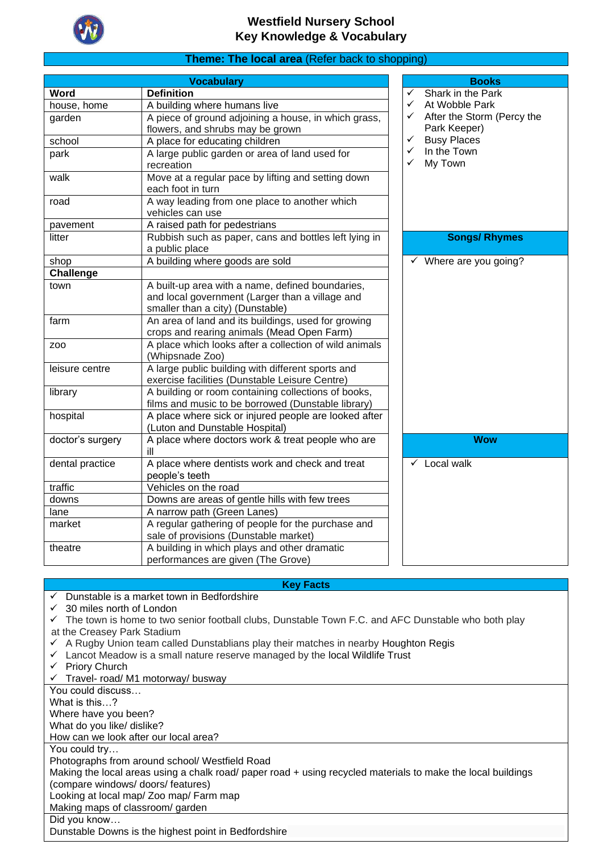

## **Theme: The local area** (Refer back to shopping)

| <b>Vocabulary</b> |                                                                      |              | <b>Books</b>                      |  |  |
|-------------------|----------------------------------------------------------------------|--------------|-----------------------------------|--|--|
| Word              | <b>Definition</b>                                                    | $\checkmark$ | Shark in the Park                 |  |  |
| house, home       | A building where humans live                                         | ✓            | At Wobble Park                    |  |  |
| garden            | A piece of ground adjoining a house, in which grass,                 | ✓            | After the Storm (Percy the        |  |  |
|                   | flowers, and shrubs may be grown                                     |              | Park Keeper)                      |  |  |
| school            | A place for educating children                                       | $\checkmark$ | <b>Busy Places</b>                |  |  |
| park              | A large public garden or area of land used for                       | $\checkmark$ | In the Town                       |  |  |
|                   | recreation                                                           | ✓            | My Town                           |  |  |
| walk              | Move at a regular pace by lifting and setting down                   |              |                                   |  |  |
|                   | each foot in turn                                                    |              |                                   |  |  |
| road              | A way leading from one place to another which                        |              |                                   |  |  |
|                   | vehicles can use                                                     |              |                                   |  |  |
| pavement          | A raised path for pedestrians                                        |              |                                   |  |  |
| litter            | Rubbish such as paper, cans and bottles left lying in                |              | <b>Songs/ Rhymes</b>              |  |  |
|                   | a public place                                                       |              |                                   |  |  |
| shop              | A building where goods are sold                                      |              | $\checkmark$ Where are you going? |  |  |
| <b>Challenge</b>  |                                                                      |              |                                   |  |  |
| town              | A built-up area with a name, defined boundaries,                     |              |                                   |  |  |
|                   | and local government (Larger than a village and                      |              |                                   |  |  |
|                   | smaller than a city) (Dunstable)                                     |              |                                   |  |  |
| farm              | An area of land and its buildings, used for growing                  |              |                                   |  |  |
|                   | crops and rearing animals (Mead Open Farm)                           |              |                                   |  |  |
| Z <sub>00</sub>   | A place which looks after a collection of wild animals               |              |                                   |  |  |
|                   | (Whipsnade Zoo)<br>A large public building with different sports and |              |                                   |  |  |
| leisure centre    | exercise facilities (Dunstable Leisure Centre)                       |              |                                   |  |  |
| library           | A building or room containing collections of books,                  |              |                                   |  |  |
|                   | films and music to be borrowed (Dunstable library)                   |              |                                   |  |  |
| hospital          | A place where sick or injured people are looked after                |              |                                   |  |  |
|                   | (Luton and Dunstable Hospital)                                       |              |                                   |  |  |
| doctor's surgery  | A place where doctors work & treat people who are                    |              | <b>Wow</b>                        |  |  |
|                   | ill                                                                  |              |                                   |  |  |
| dental practice   | A place where dentists work and check and treat                      |              | $\checkmark$ Local walk           |  |  |
|                   | people's teeth                                                       |              |                                   |  |  |
| traffic           | Vehicles on the road                                                 |              |                                   |  |  |
| downs             | Downs are areas of gentle hills with few trees                       |              |                                   |  |  |
| lane              | A narrow path (Green Lanes)                                          |              |                                   |  |  |
| market            | A regular gathering of people for the purchase and                   |              |                                   |  |  |
|                   | sale of provisions (Dunstable market)                                |              |                                   |  |  |
| theatre           | A building in which plays and other dramatic                         |              |                                   |  |  |
|                   | performances are given (The Grove)                                   |              |                                   |  |  |

### **Key Facts**

- $\checkmark$  Dunstable is a market town in Bedfordshire
- ✓ 30 miles north of London

↓ Jo miles hord to London.<br>← The town is home to two senior football clubs, Dunstable Town F.C. and AFC Dunstable who both play at the Creasey Park Stadium

- ✓ A Rugby Union team called Dunstablians play their matches in nearby [Houghton](https://kids.kiddle.co/Houghton_Regis) Regis
- $\checkmark$  Lancot Meadow is a small nature reserve managed by the local [Wildlife](https://kids.kiddle.co/Wildlife_Trust_for_Bedfordshire,_Cambridgeshire_and_Northamptonshire) Trust
- ✓ Priory Church
- ✓ Travel- road/ M1 motorway/ busway

You could discuss… What is this…? Where have you been? What do you like/ dislike? How can we look after our local area? You could try… Photographs from around school/ Westfield Road Making the local areas using a chalk road/ paper road + using recycled materials to make the local buildings (compare windows/ doors/ features) Looking at local map/ Zoo map/ Farm map Making maps of classroom/ garden

Did you know…

Dunstable Downs is the highest point in Bedfordshire